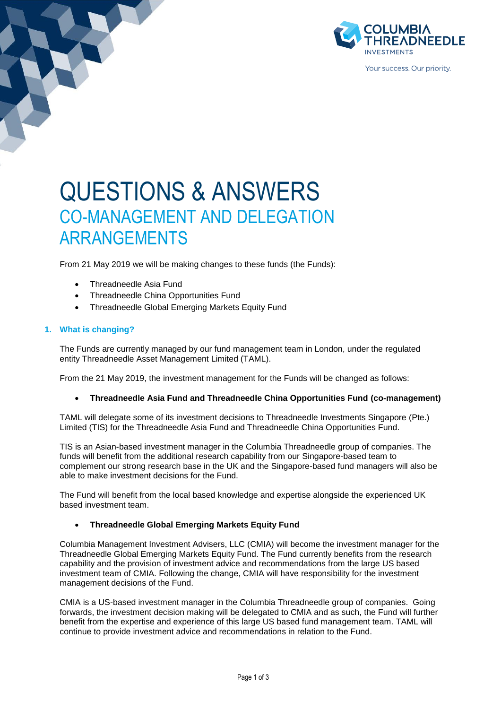

# QUESTIONS & ANSWERS CO-MANAGEMENT AND DELEGATION ARRANGEMENTS

From 21 May 2019 we will be making changes to these funds (the Funds):

- Threadneedle Asia Fund
- Threadneedle China Opportunities Fund
- Threadneedle Global Emerging Markets Equity Fund

## **1. What is changing?**

The Funds are currently managed by our fund management team in London, under the regulated entity Threadneedle Asset Management Limited (TAML).

From the 21 May 2019, the investment management for the Funds will be changed as follows:

## • **Threadneedle Asia Fund and Threadneedle China Opportunities Fund (co-management)**

TAML will delegate some of its investment decisions to Threadneedle Investments Singapore (Pte.) Limited (TIS) for the Threadneedle Asia Fund and Threadneedle China Opportunities Fund.

TIS is an Asian-based investment manager in the Columbia Threadneedle group of companies. The funds will benefit from the additional research capability from our Singapore-based team to complement our strong research base in the UK and the Singapore-based fund managers will also be able to make investment decisions for the Fund.

The Fund will benefit from the local based knowledge and expertise alongside the experienced UK based investment team.

## • **Threadneedle Global Emerging Markets Equity Fund**

Columbia Management Investment Advisers, LLC (CMIA) will become the investment manager for the Threadneedle Global Emerging Markets Equity Fund. The Fund currently benefits from the research capability and the provision of investment advice and recommendations from the large US based investment team of CMIA. Following the change, CMIA will have responsibility for the investment management decisions of the Fund.

CMIA is a US-based investment manager in the Columbia Threadneedle group of companies. Going forwards, the investment decision making will be delegated to CMIA and as such, the Fund will further benefit from the expertise and experience of this large US based fund management team. TAML will continue to provide investment advice and recommendations in relation to the Fund.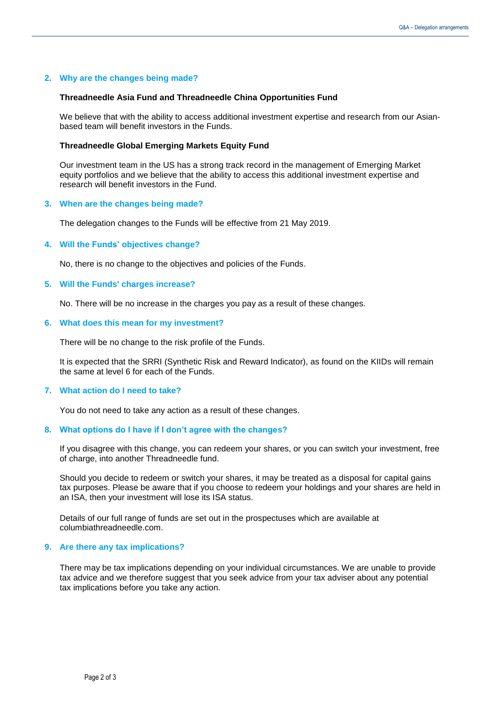## **2. Why are the changes being made?**

#### **Threadneedle Asia Fund and Threadneedle China Opportunities Fund**

We believe that with the ability to access additional investment expertise and research from our Asianbased team will benefit investors in the Funds.

#### **Threadneedle Global Emerging Markets Equity Fund**

Our investment team in the US has a strong track record in the management of Emerging Market equity portfolios and we believe that the ability to access this additional investment expertise and research will benefit investors in the Fund.

#### **3. When are the changes being made?**

The delegation changes to the Funds will be effective from 21 May 2019.

## **4. Will the Funds' objectives change?**

No, there is no change to the objectives and policies of the Funds.

#### **5. Will the Funds' charges increase?**

No. There will be no increase in the charges you pay as a result of these changes.

#### **6. What does this mean for my investment?**

There will be no change to the risk profile of the Funds.

It is expected that the SRRI (Synthetic Risk and Reward Indicator), as found on the KIIDs will remain the same at level 6 for each of the Funds.

## **7. What action do I need to take?**

You do not need to take any action as a result of these changes.

#### **8. What options do I have if I don't agree with the changes?**

If you disagree with this change, you can redeem your shares, or you can switch your investment, free of charge, into another Threadneedle fund.

Should you decide to redeem or switch your shares, it may be treated as a disposal for capital gains tax purposes. Please be aware that if you choose to redeem your holdings and your shares are held in an ISA, then your investment will lose its ISA status.

Details of our full range of funds are set out in the prospectuses which are available at columbiathreadneedle.com.

## **9. Are there any tax implications?**

There may be tax implications depending on your individual circumstances. We are unable to provide tax advice and we therefore suggest that you seek advice from your tax adviser about any potential tax implications before you take any action.